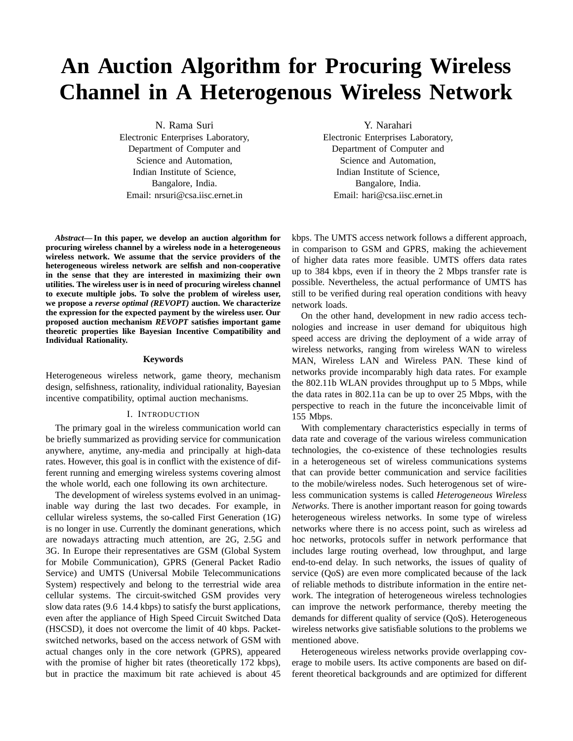# **An Auction Algorithm for Procuring Wireless Channel in A Heterogenous Wireless Network**

N. Rama Suri Electronic Enterprises Laboratory, Department of Computer and Science and Automation, Indian Institute of Science, Bangalore, India. Email: nrsuri@csa.iisc.ernet.in

*Abstract***— In this paper, we develop an auction algorithm for procuring wireless channel by a wireless node in a heterogeneous wireless network. We assume that the service providers of the heterogeneous wireless network are selfish and non-cooperative in the sense that they are interested in maximizing their own utilities. The wireless user is in need of procuring wireless channel to execute multiple jobs. To solve the problem of wireless user, we propose a** *reverse optimal (REVOPT)* **auction. We characterize the expression for the expected payment by the wireless user. Our proposed auction mechanism** *REVOPT* **satisfies important game theoretic properties like Bayesian Incentive Compatibility and Individual Rationality.**

### **Keywords**

Heterogeneous wireless network, game theory, mechanism design, selfishness, rationality, individual rationality, Bayesian incentive compatibility, optimal auction mechanisms.

#### I. INTRODUCTION

The primary goal in the wireless communication world can be briefly summarized as providing service for communication anywhere, anytime, any-media and principally at high-data rates. However, this goal is in conflict with the existence of different running and emerging wireless systems covering almost the whole world, each one following its own architecture.

The development of wireless systems evolved in an unimaginable way during the last two decades. For example, in cellular wireless systems, the so-called First Generation (1G) is no longer in use. Currently the dominant generations, which are nowadays attracting much attention, are 2G, 2.5G and 3G. In Europe their representatives are GSM (Global System for Mobile Communication), GPRS (General Packet Radio Service) and UMTS (Universal Mobile Telecommunications System) respectively and belong to the terrestrial wide area cellular systems. The circuit-switched GSM provides very slow data rates (9.6 14.4 kbps) to satisfy the burst applications, even after the appliance of High Speed Circuit Switched Data (HSCSD), it does not overcome the limit of 40 kbps. Packetswitched networks, based on the access network of GSM with actual changes only in the core network (GPRS), appeared with the promise of higher bit rates (theoretically 172 kbps), but in practice the maximum bit rate achieved is about 45

Y. Narahari

Electronic Enterprises Laboratory, Department of Computer and Science and Automation, Indian Institute of Science, Bangalore, India. Email: hari@csa.iisc.ernet.in

kbps. The UMTS access network follows a different approach, in comparison to GSM and GPRS, making the achievement of higher data rates more feasible. UMTS offers data rates up to 384 kbps, even if in theory the 2 Mbps transfer rate is possible. Nevertheless, the actual performance of UMTS has still to be verified during real operation conditions with heavy network loads.

On the other hand, development in new radio access technologies and increase in user demand for ubiquitous high speed access are driving the deployment of a wide array of wireless networks, ranging from wireless WAN to wireless MAN, Wireless LAN and Wireless PAN. These kind of networks provide incomparably high data rates. For example the 802.11b WLAN provides throughput up to 5 Mbps, while the data rates in 802.11a can be up to over 25 Mbps, with the perspective to reach in the future the inconceivable limit of 155 Mbps.

With complementary characteristics especially in terms of data rate and coverage of the various wireless communication technologies, the co-existence of these technologies results in a heterogeneous set of wireless communications systems that can provide better communication and service facilities to the mobile/wireless nodes. Such heterogenous set of wireless communication systems is called *Heterogeneous Wireless Networks*. There is another important reason for going towards heterogeneous wireless networks. In some type of wireless networks where there is no access point, such as wireless ad hoc networks, protocols suffer in network performance that includes large routing overhead, low throughput, and large end-to-end delay. In such networks, the issues of quality of service (QoS) are even more complicated because of the lack of reliable methods to distribute information in the entire network. The integration of heterogeneous wireless technologies can improve the network performance, thereby meeting the demands for different quality of service (QoS). Heterogeneous wireless networks give satisfiable solutions to the problems we mentioned above.

Heterogeneous wireless networks provide overlapping coverage to mobile users. Its active components are based on different theoretical backgrounds and are optimized for different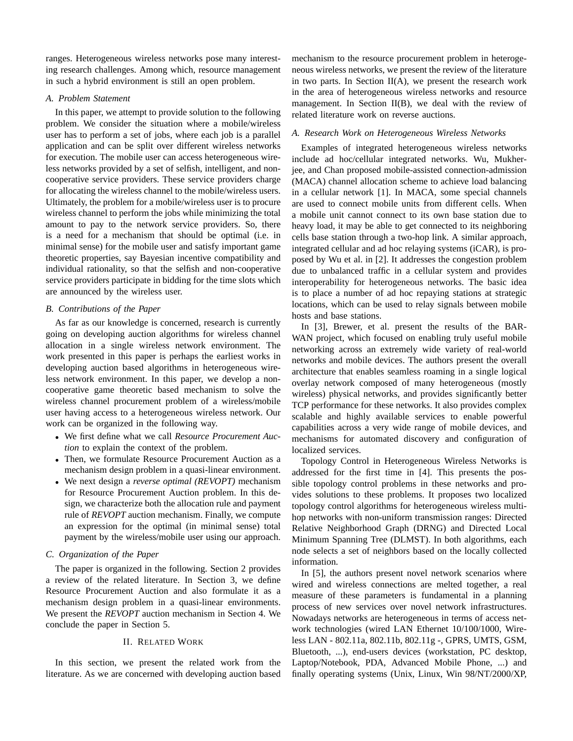ranges. Heterogeneous wireless networks pose many interesting research challenges. Among which, resource management in such a hybrid environment is still an open problem.

## *A. Problem Statement*

In this paper, we attempt to provide solution to the following problem. We consider the situation where a mobile/wireless user has to perform a set of jobs, where each job is a parallel application and can be split over different wireless networks for execution. The mobile user can access heterogeneous wireless networks provided by a set of selfish, intelligent, and noncooperative service providers. These service providers charge for allocating the wireless channel to the mobile/wireless users. Ultimately, the problem for a mobile/wireless user is to procure wireless channel to perform the jobs while minimizing the total amount to pay to the network service providers. So, there is a need for a mechanism that should be optimal (i.e. in minimal sense) for the mobile user and satisfy important game theoretic properties, say Bayesian incentive compatibility and individual rationality, so that the selfish and non-cooperative service providers participate in bidding for the time slots which are announced by the wireless user.

## *B. Contributions of the Paper*

As far as our knowledge is concerned, research is currently going on developing auction algorithms for wireless channel allocation in a single wireless network environment. The work presented in this paper is perhaps the earliest works in developing auction based algorithms in heterogeneous wireless network environment. In this paper, we develop a noncooperative game theoretic based mechanism to solve the wireless channel procurement problem of a wireless/mobile user having access to a heterogeneous wireless network. Our work can be organized in the following way.

- We first define what we call *Resource Procurement Auction* to explain the context of the problem.
- Then, we formulate Resource Procurement Auction as a mechanism design problem in a quasi-linear environment.
- We next design a *reverse optimal (REVOPT)* mechanism for Resource Procurement Auction problem. In this design, we characterize both the allocation rule and payment rule of *REVOPT* auction mechanism. Finally, we compute an expression for the optimal (in minimal sense) total payment by the wireless/mobile user using our approach.

## *C. Organization of the Paper*

The paper is organized in the following. Section 2 provides a review of the related literature. In Section 3, we define Resource Procurement Auction and also formulate it as a mechanism design problem in a quasi-linear environments. We present the *REVOPT* auction mechanism in Section 4. We conclude the paper in Section 5.

## II. RELATED WORK

In this section, we present the related work from the literature. As we are concerned with developing auction based mechanism to the resource procurement problem in heterogeneous wireless networks, we present the review of the literature in two parts. In Section  $II(A)$ , we present the research work in the area of heterogeneous wireless networks and resource management. In Section II(B), we deal with the review of related literature work on reverse auctions.

## *A. Research Work on Heterogeneous Wireless Networks*

Examples of integrated heterogeneous wireless networks include ad hoc/cellular integrated networks. Wu, Mukherjee, and Chan proposed mobile-assisted connection-admission (MACA) channel allocation scheme to achieve load balancing in a cellular network [1]. In MACA, some special channels are used to connect mobile units from different cells. When a mobile unit cannot connect to its own base station due to heavy load, it may be able to get connected to its neighboring cells base station through a two-hop link. A similar approach, integrated cellular and ad hoc relaying systems (iCAR), is proposed by Wu et al. in [2]. It addresses the congestion problem due to unbalanced traffic in a cellular system and provides interoperability for heterogeneous networks. The basic idea is to place a number of ad hoc repaying stations at strategic locations, which can be used to relay signals between mobile hosts and base stations.

In [3], Brewer, et al. present the results of the BAR-WAN project, which focused on enabling truly useful mobile networking across an extremely wide variety of real-world networks and mobile devices. The authors present the overall architecture that enables seamless roaming in a single logical overlay network composed of many heterogeneous (mostly wireless) physical networks, and provides significantly better TCP performance for these networks. It also provides complex scalable and highly available services to enable powerful capabilities across a very wide range of mobile devices, and mechanisms for automated discovery and configuration of localized services.

Topology Control in Heterogeneous Wireless Networks is addressed for the first time in [4]. This presents the possible topology control problems in these networks and provides solutions to these problems. It proposes two localized topology control algorithms for heterogeneous wireless multihop networks with non-uniform transmission ranges: Directed Relative Neighborhood Graph (DRNG) and Directed Local Minimum Spanning Tree (DLMST). In both algorithms, each node selects a set of neighbors based on the locally collected information.

In [5], the authors present novel network scenarios where wired and wireless connections are melted together, a real measure of these parameters is fundamental in a planning process of new services over novel network infrastructures. Nowadays networks are heterogeneous in terms of access network technologies (wired LAN Ethernet 10/100/1000, Wireless LAN - 802.11a, 802.11b, 802.11g -, GPRS, UMTS, GSM, Bluetooth, ...), end-users devices (workstation, PC desktop, Laptop/Notebook, PDA, Advanced Mobile Phone, ...) and finally operating systems (Unix, Linux, Win 98/NT/2000/XP,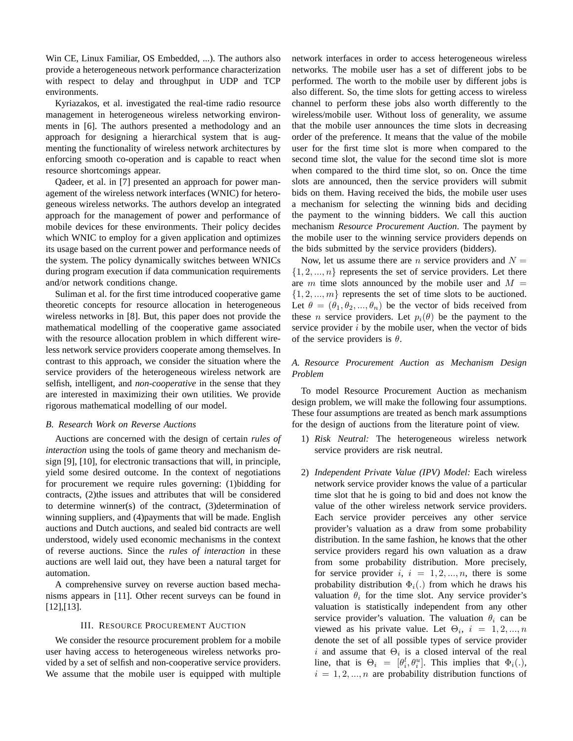Win CE, Linux Familiar, OS Embedded, ...). The authors also provide a heterogeneous network performance characterization with respect to delay and throughput in UDP and TCP environments.

Kyriazakos, et al. investigated the real-time radio resource management in heterogeneous wireless networking environments in [6]. The authors presented a methodology and an approach for designing a hierarchical system that is augmenting the functionality of wireless network architectures by enforcing smooth co-operation and is capable to react when resource shortcomings appear.

Qadeer, et al. in [7] presented an approach for power management of the wireless network interfaces (WNIC) for heterogeneous wireless networks. The authors develop an integrated approach for the management of power and performance of mobile devices for these environments. Their policy decides which WNIC to employ for a given application and optimizes its usage based on the current power and performance needs of the system. The policy dynamically switches between WNICs during program execution if data communication requirements and/or network conditions change.

Suliman et al. for the first time introduced cooperative game theoretic concepts for resource allocation in heterogeneous wireless networks in [8]. But, this paper does not provide the mathematical modelling of the cooperative game associated with the resource allocation problem in which different wireless network service providers cooperate among themselves. In contrast to this approach, we consider the situation where the service providers of the heterogeneous wireless network are selfish, intelligent, and *non-cooperative* in the sense that they are interested in maximizing their own utilities. We provide rigorous mathematical modelling of our model.

## *B. Research Work on Reverse Auctions*

Auctions are concerned with the design of certain *rules of interaction* using the tools of game theory and mechanism design [9], [10], for electronic transactions that will, in principle, yield some desired outcome. In the context of negotiations for procurement we require rules governing: (1)bidding for contracts, (2)the issues and attributes that will be considered to determine winner(s) of the contract, (3)determination of winning suppliers, and (4)payments that will be made. English auctions and Dutch auctions, and sealed bid contracts are well understood, widely used economic mechanisms in the context of reverse auctions. Since the *rules of interaction* in these auctions are well laid out, they have been a natural target for automation.

A comprehensive survey on reverse auction based mechanisms appears in [11]. Other recent surveys can be found in [12],[13].

#### III. RESOURCE PROCUREMENT AUCTION

We consider the resource procurement problem for a mobile user having access to heterogeneous wireless networks provided by a set of selfish and non-cooperative service providers. We assume that the mobile user is equipped with multiple network interfaces in order to access heterogeneous wireless networks. The mobile user has a set of different jobs to be performed. The worth to the mobile user by different jobs is also different. So, the time slots for getting access to wireless channel to perform these jobs also worth differently to the wireless/mobile user. Without loss of generality, we assume that the mobile user announces the time slots in decreasing order of the preference. It means that the value of the mobile user for the first time slot is more when compared to the second time slot, the value for the second time slot is more when compared to the third time slot, so on. Once the time slots are announced, then the service providers will submit bids on them. Having received the bids, the mobile user uses a mechanism for selecting the winning bids and deciding the payment to the winning bidders. We call this auction mechanism *Resource Procurement Auction*. The payment by the mobile user to the winning service providers depends on the bids submitted by the service providers (bidders).

Now, let us assume there are *n* service providers and  $N =$  $\{1, 2, ..., n\}$  represents the set of service providers. Let there are m time slots announced by the mobile user and  $M =$  $\{1, 2, ..., m\}$  represents the set of time slots to be auctioned. Let  $\theta = (\theta_1, \theta_2, ..., \theta_n)$  be the vector of bids received from these *n* service providers. Let  $p_i(\theta)$  be the payment to the service provider  $i$  by the mobile user, when the vector of bids of the service providers is  $\theta$ .

## *A. Resource Procurement Auction as Mechanism Design Problem*

To model Resource Procurement Auction as mechanism design problem, we will make the following four assumptions. These four assumptions are treated as bench mark assumptions for the design of auctions from the literature point of view.

- 1) *Risk Neutral:* The heterogeneous wireless network service providers are risk neutral.
- 2) *Independent Private Value (IPV) Model:* Each wireless network service provider knows the value of a particular time slot that he is going to bid and does not know the value of the other wireless network service providers. Each service provider perceives any other service provider's valuation as a draw from some probability distribution. In the same fashion, he knows that the other service providers regard his own valuation as a draw from some probability distribution. More precisely, for service provider  $i, i = 1, 2, ..., n$ , there is some probability distribution  $\Phi_i(.)$  from which he draws his valuation  $\theta_i$  for the time slot. Any service provider's valuation is statistically independent from any other service provider's valuation. The valuation  $\theta_i$  can be viewed as his private value. Let  $\Theta_i$ ,  $i = 1, 2, ..., n$ denote the set of all possible types of service provider i and assume that  $\Theta_i$  is a closed interval of the real line, that is  $\Theta_i = [\theta_i^l, \theta_i^u]$ . This implies that  $\Phi_i(.)$ ,  $i = 1, 2, ..., n$  are probability distribution functions of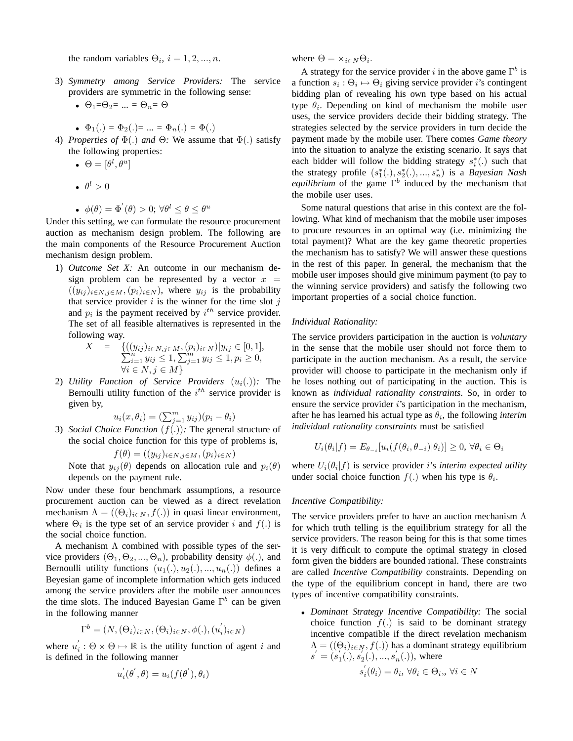the random variables  $\Theta_i$ ,  $i = 1, 2, ..., n$ .

- 3) *Symmetry among Service Providers:* The service providers are symmetric in the following sense:
	- $\Theta_1 = \Theta_2 = ... = \Theta_n = \Theta$

• 
$$
\Phi_1(.) = \Phi_2(.) = ... = \Phi_n(.) = \Phi(.)
$$

- 4) *Properties of* Φ(.) *and* Θ*:* We assume that Φ(.) satisfy the following properties:
	- $\bullet \ \Theta = [\theta^l, \theta^u]$
	- $\bullet$   $\theta^l > 0$
	- $\phi(\theta) = \Phi'(\theta) > 0$ ;  $\forall \theta^l \leq \theta \leq \theta^u$

Under this setting, we can formulate the resource procurement auction as mechanism design problem. The following are the main components of the Resource Procurement Auction mechanism design problem.

1) *Outcome Set X:* An outcome in our mechanism design problem can be represented by a vector  $x =$  $((y_{ij})_{i\in N,j\in M}, (p_i)_{i\in N})$ , where  $y_{ij}$  is the probability that service provider  $i$  is the winner for the time slot  $j$ and  $p_i$  is the payment received by  $i^{th}$  service provider. The set of all feasible alternatives is represented in the following way.

$$
X = \{((y_{ij})_{i \in N, j \in M}, (p_i)_{i \in N}) | y_{ij} \in [0, 1],
$$
  
\n
$$
\sum_{i=1}^{n} y_{ij} \le 1, \sum_{j=1}^{m} y_{ij} \le 1, p_i \ge 0,
$$
  
\n
$$
\forall i \in N, j \in M\}
$$

2) *Utility Function of Service Providers*  $(u_i(.))$ : The Bernoulli utility function of the  $i^{th}$  service provider is given by,

$$
u_i(x, \theta_i) = \left(\sum_{j=1}^m y_{ij}\right)(p_i - \theta_i)
$$

3) *Social Choice Function*  $(f(.))$ : The general structure of the social choice function for this type of problems is,

$$
f(\theta) = ((y_{ij})_{i \in N, j \in M}, (p_i)_{i \in N})
$$

Note that  $y_{ij}(\theta)$  depends on allocation rule and  $p_i(\theta)$ depends on the payment rule.

Now under these four benchmark assumptions, a resource procurement auction can be viewed as a direct revelation mechanism  $\Lambda = ((\Theta_i)_{i \in N}, f(.))$  in quasi linear environment, where  $\Theta_i$  is the type set of an service provider i and  $f(.)$  is the social choice function.

A mechanism  $\Lambda$  combined with possible types of the service providers  $(\Theta_1, \Theta_2, ..., \Theta_n)$ , probability density  $\phi(.)$ , and Bernoulli utility functions  $(u_1(.), u_2(.), ..., u_n(.) )$  defines a Beyesian game of incomplete information which gets induced among the service providers after the mobile user announces the time slots. The induced Bayesian Game  $\Gamma^{b}$  can be given in the following manner

$$
\Gamma^b = (N, (\Theta_i)_{i \in N}, (\Theta_i)_{i \in N}, \phi(.), (u_i')_{i \in N})
$$

where  $u'_i : \Theta \times \Theta \mapsto \mathbb{R}$  is the utility function of agent i and is defined in the following manner

$$
u_i^{'}(\theta^{'}, \theta) = u_i(f(\theta^{'}), \theta_i)
$$

where  $\Theta = \times_{i \in N} \Theta_i$ .

A strategy for the service provider i in the above game  $\Gamma^b$  is a function  $s_i$ :  $\Theta_i \mapsto \Theta_i$  giving service provider *i*'s contingent bidding plan of revealing his own type based on his actual type  $\theta_i$ . Depending on kind of mechanism the mobile user uses, the service providers decide their bidding strategy. The strategies selected by the service providers in turn decide the payment made by the mobile user. There comes *Game theory* into the situation to analyze the existing scenario. It says that each bidder will follow the bidding strategy  $s_i^*(.)$  such that the strategy profile  $(s_1^*(.) , s_2^*(.) , ..., s_n^*)$  is a *Bayesian Nash equilibrium* of the game  $\Gamma^b$  induced by the mechanism that the mobile user uses.

Some natural questions that arise in this context are the following. What kind of mechanism that the mobile user imposes to procure resources in an optimal way (i.e. minimizing the total payment)? What are the key game theoretic properties the mechanism has to satisfy? We will answer these questions in the rest of this paper. In general, the mechanism that the mobile user imposes should give minimum payment (to pay to the winning service providers) and satisfy the following two important properties of a social choice function.

## *Individual Rationality:*

The service providers participation in the auction is *voluntary* in the sense that the mobile user should not force them to participate in the auction mechanism. As a result, the service provider will choose to participate in the mechanism only if he loses nothing out of participating in the auction. This is known as *individual rationality constraints*. So, in order to ensure the service provider  $i$ 's participation in the mechanism, after he has learned his actual type as  $\theta_i$ , the following *interim individual rationality constraints* must be satisfied

$$
U_i(\theta_i|f) = E_{\theta_{-i}}[u_i(f(\theta_i, \theta_{-i})|\theta_i)] \ge 0, \,\forall \theta_i \in \Theta_i
$$

where  $U_i(\theta_i|f)$  is service provider *i*'s *interim expected utility* under social choice function  $f(.)$  when his type is  $\theta_i$ .

#### *Incentive Compatibility:*

The service providers prefer to have an auction mechanism  $\Lambda$ for which truth telling is the equilibrium strategy for all the service providers. The reason being for this is that some times it is very difficult to compute the optimal strategy in closed form given the bidders are bounded rational. These constraints are called *Incentive Compatibility* constraints. Depending on the type of the equilibrium concept in hand, there are two types of incentive compatibility constraints.

• *Dominant Strategy Incentive Compatibility:* The social choice function  $f(.)$  is said to be dominant strategy incentive compatible if the direct revelation mechanism  $\Lambda = ((\Theta_i)_{i \in N}, f(.))$  has a dominant strategy equilibrium  $s' = (s'_1(.), s'_2(.), ..., s'_n(.))$ , where

$$
s_i^{'}(\theta_i)=\theta_i,\,\forall \theta_i\in\Theta_i,,\,\forall i\in N
$$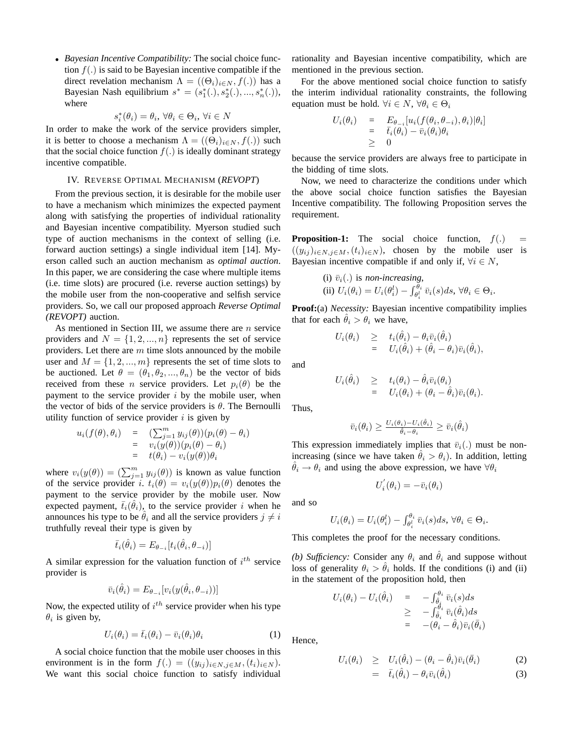• *Bayesian Incentive Compatibility:* The social choice function  $f(.)$  is said to be Bayesian incentive compatible if the direct revelation mechanism  $\Lambda = ((\Theta_i)_{i \in N}, f(.))$  has a Bayesian Nash equilibrium  $s^* = (s_1^*(.) , s_2^*(.) , ..., s_n^*(.) )$ , where

$$
s_i^*(\theta_i) = \theta_i, \,\forall \theta_i \in \Theta_i, \,\forall i \in N
$$

In order to make the work of the service providers simpler, it is better to choose a mechanism  $\Lambda = ((\Theta_i)_{i \in N}, f(.))$  such that the social choice function  $f(.)$  is ideally dominant strategy incentive compatible.

## IV. REVERSE OPTIMAL MECHANISM (*REVOPT*)

From the previous section, it is desirable for the mobile user to have a mechanism which minimizes the expected payment along with satisfying the properties of individual rationality and Bayesian incentive compatibility. Myerson studied such type of auction mechanisms in the context of selling (i.e. forward auction settings) a single individual item [14]. Myerson called such an auction mechanism as *optimal auction*. In this paper, we are considering the case where multiple items (i.e. time slots) are procured (i.e. reverse auction settings) by the mobile user from the non-cooperative and selfish service providers. So, we call our proposed approach *Reverse Optimal (REVOPT)* auction.

As mentioned in Section III, we assume there are  $n$  service providers and  $N = \{1, 2, ..., n\}$  represents the set of service providers. Let there are  $m$  time slots announced by the mobile user and  $M = \{1, 2, ..., m\}$  represents the set of time slots to be auctioned. Let  $\theta = (\theta_1, \theta_2, ..., \theta_n)$  be the vector of bids received from these *n* service providers. Let  $p_i(\theta)$  be the payment to the service provider  $i$  by the mobile user, when the vector of bids of the service providers is  $\theta$ . The Bernoulli utility function of service provider  $i$  is given by

$$
u_i(f(\theta), \theta_i) = \n\begin{cases} \n\sum_{j=1}^m y_{ij}(\theta) (p_i(\theta) - \theta_i) \\
= \n v_i(y(\theta)) (p_i(\theta) - \theta_i) \\
= \n\end{cases}
$$

where  $v_i(y(\theta)) = (\sum_{j=1}^m y_{ij}(\theta))$  is known as value function of the service provider i.  $t_i(\theta) = v_i(y(\theta))p_i(\theta)$  denotes the payment to the service provider by the mobile user. Now expected payment,  $\bar{t}_i(\hat{\theta}_i)$ , to the service provider i when he announces his type to be  $\hat{\theta}_i$  and all the service providers  $j \neq i$ truthfully reveal their type is given by

$$
\bar{t}_i(\hat{\theta}_i) = E_{\theta_{-i}}[t_i(\hat{\theta}_i, \theta_{-i})]
$$

A similar expression for the valuation function of  $i^{th}$  service provider is

$$
\bar{v}_i(\hat{\theta}_i) = E_{\theta_{-i}}[v_i(y(\hat{\theta}_i, \theta_{-i}))]
$$

Now, the expected utility of  $i^{th}$  service provider when his type  $\theta_i$  is given by,

$$
U_i(\theta_i) = \bar{t}_i(\theta_i) - \bar{v}_i(\theta_i)\theta_i \tag{1}
$$

A social choice function that the mobile user chooses in this environment is in the form  $f(.) = ((y_{ij})_{i \in N, j \in M}, (t_i)_{i \in N}).$ We want this social choice function to satisfy individual rationality and Bayesian incentive compatibility, which are mentioned in the previous section.

For the above mentioned social choice function to satisfy the interim individual rationality constraints, the following equation must be hold.  $\forall i \in N, \forall \theta_i \in \Theta_i$ 

$$
U_i(\theta_i) = E_{\theta_{-i}}[u_i(f(\theta_i, \theta_{-i}), \theta_i)|\theta_i]
$$
  
=  $\bar{t}_i(\theta_i) - \bar{v}_i(\theta_i)\theta_i$   
\geq 0

because the service providers are always free to participate in the bidding of time slots.

Now, we need to characterize the conditions under which the above social choice function satisfies the Bayesian Incentive compatibility. The following Proposition serves the requirement.

**Proposition-1:** The social choice function,  $f(.) =$  $((y_{ij})_{i\in N,j\in M}, (t_i)_{i\in N})$ , chosen by the mobile user is Bayesian incentive compatible if and only if,  $\forall i \in N$ ,

(i) 
$$
\bar{v}_i(.)
$$
 is non-increasing,  
(ii)  $U_i(\theta_i) = U_i(\theta_i^l) - \int_{\theta_i^l}^{\theta_i} \bar{v}_i(s)ds, \forall \theta_i \in \Theta_i$ .

**Proof:**(a) *Necessity:* Bayesian incentive compatibility implies that for each  $\hat{\theta}_i > \theta_i$  we have,

$$
U_i(\theta_i) \quad \geq \quad t_i(\hat{\theta}_i) - \theta_i \bar{v}_i(\hat{\theta}_i) \\qquad \qquad = \quad U_i(\hat{\theta}_i) + (\hat{\theta}_i - \theta_i) \bar{v}_i(\hat{\theta}_i),
$$

and

$$
U_i(\hat{\theta}_i) \geq t_i(\theta_i) - \hat{\theta}_i \bar{v}_i(\theta_i)
$$
  
= 
$$
U_i(\theta_i) + (\theta_i - \hat{\theta}_i) \bar{v}_i(\theta_i).
$$

Thus,

$$
\bar{v}_i(\theta_i) \ge \frac{U_i(\theta_i) - U_i(\hat{\theta}_i)}{\hat{\theta}_i - \theta_i} \ge \bar{v}_i(\hat{\theta}_i)
$$

This expression immediately implies that  $\bar{v}_i(.)$  must be nonincreasing (since we have taken  $\theta_i > \theta_i$ ). In addition, letting  $\theta_i \rightarrow \theta_i$  and using the above expression, we have  $\forall \theta_i$ 

$$
U^{'}_i(\theta_i)=-\bar{v}_i(\theta_i)
$$

and so

$$
U_i(\theta_i) = U_i(\theta_i^l) - \int_{\theta_i^l}^{\theta_i} \bar{v}_i(s) ds, \,\forall \theta_i \in \Theta_i.
$$

This completes the proof for the necessary conditions.

*(b) Sufficiency:* Consider any  $\theta_i$  and  $\hat{\theta}_i$  and suppose without loss of generality  $\theta_i > \theta_i$  holds. If the conditions (i) and (ii) in the statement of the proposition hold, then

$$
U_i(\theta_i) - U_i(\hat{\theta}_i) = -\int_{\hat{\theta}_i}^{\theta_i} \bar{v}_i(s)ds
$$
  
\n
$$
\geq -\int_{\hat{\theta}_i}^{\hat{\theta}_i} \bar{v}_i(\hat{\theta}_i)ds
$$
  
\n
$$
= -(\theta_i - \hat{\theta}_i)\bar{v}_i(\bar{\theta}_i)
$$

Hence,

$$
U_i(\theta_i) \geq U_i(\hat{\theta}_i) - (\theta_i - \hat{\theta}_i)\bar{v}_i(\bar{\theta}_i)
$$
\n
$$
= \bar{t}_i(\hat{\theta}_i) - \theta_i\bar{v}_i(\hat{\theta}_i)
$$
\n(2)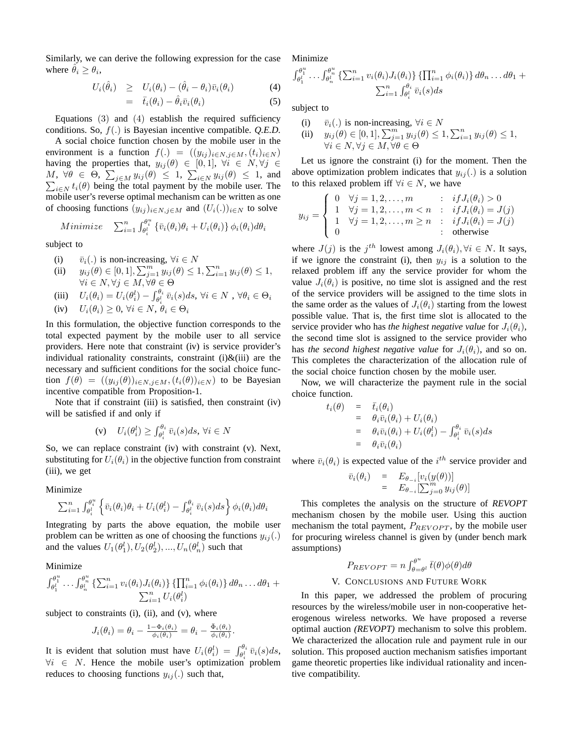Similarly, we can derive the following expression for the case where  $\hat{\theta}_i \geq \theta_i$ ,

$$
U_i(\hat{\theta}_i) \geq U_i(\theta_i) - (\hat{\theta}_i - \theta_i)\bar{v}_i(\theta_i) \tag{4}
$$

$$
= \bar{t}_i(\theta_i) - \hat{\theta}_i \bar{v}_i(\theta_i) \tag{5}
$$

Equations  $(3)$  and  $(4)$  establish the required sufficiency conditions. So, f(.) is Bayesian incentive compatible. *Q.E.D.*

A social choice function chosen by the mobile user in the environment is a function  $f(.) = ((y_{ij})_{i \in N, j \in M}, (t_i)_{i \in N})$ having the properties that,  $y_{ij}(\theta) \in [0,1]$ ,  $\forall i \in N, \forall j \in \mathbb{N}$  $M, \forall \theta \in \Theta, \sum_{j \in M} y_{ij}(\theta) \leq 1, \sum_{i \in N} y_{ij}(\theta) \leq 1, \text{ and}$  $i \in N$  t<sub>i</sub>( $\theta$ ) being the total payment by the mobile user. The mobile user's reverse optimal mechanism can be written as one of choosing functions  $(y_{ij})_{i \in N, j \in M}$  and  $(U_i(.))_{i \in N}$  to solve

Minimize 
$$
\sum_{i=1}^{n} \int_{\theta_i^l}^{\theta_i^u} {\{\bar{v}_i(\theta_i)\theta_i + U_i(\theta_i)\}\phi_i(\theta_i)} d\theta_i
$$

subject to

- (i)  $\bar{v}_i(.)$  is non-increasing,  $\forall i \in N$
- (i)  $v_i(.)$  is non-increasing,  $vt \in IV$ <br>
(ii)  $y_{ij}(\theta) \in [0, 1], \sum_{j=1}^{m} y_{ij}(\theta) \le 1, \sum_{i=1}^{n} y_{ij}(\theta) \le 1$ ,  $\forall i \in N, \forall j \in M, \forall \theta \in \Theta$
- (iii)  $U_i(\theta_i) = U_i(\theta_i^l) \int_{\theta_i^l}^{\theta_i}$  $\overline{\theta_i^{\iota}}\,\bar{v}_i(s)ds, \,\forall i\in N\,\,,\,\forall \theta_i\in \Theta_i$
- (iv)  $U_i(\theta_i) \geq 0, \forall i \in N, \theta_i \in \Theta_i$

In this formulation, the objective function corresponds to the total expected payment by the mobile user to all service providers. Here note that constraint (iv) is service provider's individual rationality constraints, constraint  $(i)$ & $(iii)$  are the necessary and sufficient conditions for the social choice function  $f(\theta) = ((y_{ij}(\theta))_{i \in N, j \in M}, (t_i(\theta))_{i \in N})$  to be Bayesian incentive compatible from Proposition-1.

Note that if constraint (iii) is satisfied, then constraint (iv) will be satisfied if and only if

(v) 
$$
U_i(\theta_i^l) \ge \int_{\theta_i^l}^{\theta_i} \bar{v}_i(s)ds, \ \forall i \in N
$$

So, we can replace constraint (iv) with constraint (v). Next, substituting for  $U_i(\theta_i)$  in the objective function from constraint (iii), we get

## Minimize

$$
\sum_{i=1}^{n} \int_{\theta_i^l}^{\theta_i^u} \left\{ \bar{v}_i(\theta_i)\theta_i + U_i(\theta_i^l) - \int_{\theta_i^l}^{\theta_i} \bar{v}_i(s)ds \right\} \phi_i(\theta_i) d\theta_i
$$

Integrating by parts the above equation, the mobile user problem can be written as one of choosing the functions  $y_{ij}$ . and the values  $U_1(\theta_1^l), U_2(\theta_2^l), ..., U_n(\theta_n^l)$  such that

Minimize

$$
\int_{\theta_1^1}^{\theta_1^u} \cdots \int_{\theta_n^l}^{\theta_n^u} \left\{ \sum_{i=1}^n v_i(\theta_i) J_i(\theta_i) \right\} \left\{ \prod_{i=1}^n \phi_i(\theta_i) \right\} d\theta_n \ldots d\theta_1 + \sum_{i=1}^n U_i(\theta_i^l)
$$

subject to constraints (i), (ii), and (v), where

$$
J_i(\theta_i) = \theta_i - \frac{1 - \Phi_i(\theta_i)}{\phi_i(\theta_i)} = \theta_i - \frac{\bar{\Phi}_i(\theta_i)}{\phi_i(\theta_i)}.
$$

It is evident that solution must have  $U_i(\theta_i^l) = \int_{\theta_i^l}^{\theta_i} \bar{v}_i(s) ds$ ,  $\forall i \in N$ . Hence the mobile user's optimization problem reduces to choosing functions  $y_{ij}$ .) such that,

Minimize

$$
\int_{\theta_1^l}^{\theta_1^u} \dots \int_{\theta_n^l}^{\theta_n^u} \left\{ \sum_{i=1}^n v_i(\theta_i) J_i(\theta_i) \right\} \left\{ \prod_{i=1}^n \phi_i(\theta_i) \right\} d\theta_n \dots d\theta_1 + \sum_{i=1}^n \int_{\theta_i^l}^{\theta_i} \bar{v}_i(s) ds
$$

subject to

(i) 
$$
\bar{v}_i(.)
$$
 is non-increasing,  $\forall i \in N$ 

(i)  $v_i(.)$  is non-increasing,  $\forall i \in \mathbb{N}$ <br>
(ii)  $y_{ij}(\theta) \in [0, 1], \sum_{j=1}^m y_{ij}(\theta) \le 1, \sum_{i=1}^n y_{ij}(\theta) \le 1$ ,  $\forall i \in N, \forall j \in M, \forall \theta \in \Theta$ 

Let us ignore the constraint (i) for the moment. Then the above optimization problem indicates that  $y_{ii}$ .) is a solution to this relaxed problem iff  $\forall i \in N$ , we have Ţ

$$
y_{ij} = \begin{cases} 0 & \forall j = 1, 2, ..., m & : & if J_i(\theta_i) > 0 \\ 1 & \forall j = 1, 2, ..., m < n & : & if J_i(\theta_i) = J(j) \\ 1 & \forall j = 1, 2, ..., m \ge n & : & if J_i(\theta_i) = J(j) \\ 0 & : & \text{otherwise} \end{cases}
$$

where  $J(j)$  is the  $j^{th}$  lowest among  $J_i(\theta_i), \forall i \in N$ . It says, if we ignore the constraint (i), then  $y_{ij}$  is a solution to the relaxed problem iff any the service provider for whom the value  $J_i(\theta_i)$  is positive, no time slot is assigned and the rest of the service providers will be assigned to the time slots in the same order as the values of  $J_i(\theta_i)$  starting from the lowest possible value. That is, the first time slot is allocated to the service provider who has *the highest negative value* for  $J_i(\theta_i)$ , the second time slot is assigned to the service provider who has *the second highest negative value* for  $J_i(\theta_i)$ , and so on. This completes the characterization of the allocation rule of the social choice function chosen by the mobile user.

Now, we will characterize the payment rule in the social choice function.

$$
t_i(\theta) = \bar{t}_i(\theta_i)
$$
  
\n
$$
= \theta_i \bar{v}_i(\theta_i) + U_i(\theta_i)
$$
  
\n
$$
= \theta_i \bar{v}_i(\theta_i) + U_i(\theta_i^l) - \int_{\theta_i^l}^{\theta_i} \bar{v}_i(s) ds
$$
  
\n
$$
= \theta_i \bar{v}_i(\theta_i)
$$

where  $\bar{v}_i(\theta_i)$  is expected value of the  $i^{th}$  service provider and

$$
\begin{array}{rcl}\n\bar{v}_i(\theta_i) & = & E_{\theta_{-i}}[v_i(y(\theta))] \\
& = & E_{\theta_{-i}}[\sum_{j=0}^m y_{ij}(\theta)]\n\end{array}
$$

This completes the analysis on the structure of *REVOPT* mechanism chosen by the mobile user. Using this auction mechanism the total payment,  $P_{REVOPT}$ , by the mobile user for procuring wireless channel is given by (under bench mark assumptions)

$$
P_{REVOPT} = n \int_{\theta=\theta^l}^{\theta^u} \bar{t}(\theta) \phi(\theta) d\theta
$$

## V. CONCLUSIONS AND FUTURE WORK

In this paper, we addressed the problem of procuring resources by the wireless/mobile user in non-cooperative heterogenous wireless networks. We have proposed a reverse optimal auction *(REVOPT)* mechanism to solve this problem. We characterized the allocation rule and payment rule in our solution. This proposed auction mechanism satisfies important game theoretic properties like individual rationality and incentive compatibility.